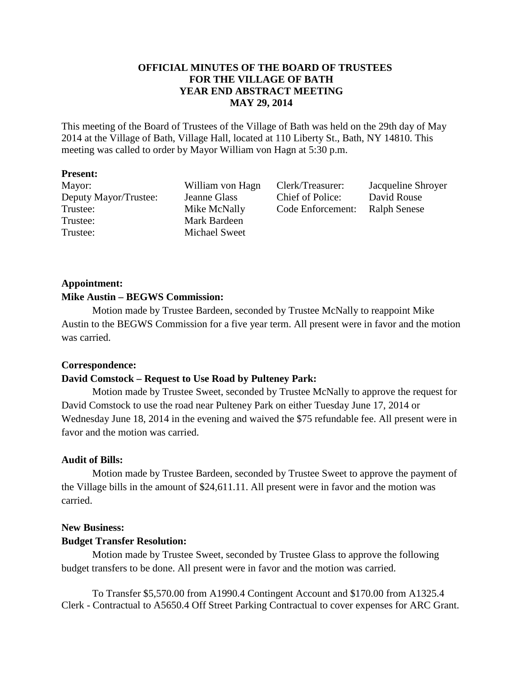# **OFFICIAL MINUTES OF THE BOARD OF TRUSTEES FOR THE VILLAGE OF BATH YEAR END ABSTRACT MEETING MAY 29, 2014**

This meeting of the Board of Trustees of the Village of Bath was held on the 29th day of May 2014 at the Village of Bath, Village Hall, located at 110 Liberty St., Bath, NY 14810. This meeting was called to order by Mayor William von Hagn at 5:30 p.m.

#### **Present:**

Deputy Mayor/Trustee: Jeanne Glass Chief of Police: David Rouse Trustee: Mike McNally Code Enforcement: Ralph Senese Trustee: Mark Bardeen Trustee: Michael Sweet

Mayor: William von Hagn Clerk/Treasurer: Jacqueline Shroyer

# **Appointment: Mike Austin – BEGWS Commission:**

Motion made by Trustee Bardeen, seconded by Trustee McNally to reappoint Mike Austin to the BEGWS Commission for a five year term. All present were in favor and the motion was carried.

# **Correspondence:**

# **David Comstock – Request to Use Road by Pulteney Park:**

 Motion made by Trustee Sweet, seconded by Trustee McNally to approve the request for David Comstock to use the road near Pulteney Park on either Tuesday June 17, 2014 or Wednesday June 18, 2014 in the evening and waived the \$75 refundable fee. All present were in favor and the motion was carried.

## **Audit of Bills:**

 Motion made by Trustee Bardeen, seconded by Trustee Sweet to approve the payment of the Village bills in the amount of \$24,611.11. All present were in favor and the motion was carried.

## **New Business:**

## **Budget Transfer Resolution:**

 Motion made by Trustee Sweet, seconded by Trustee Glass to approve the following budget transfers to be done. All present were in favor and the motion was carried.

To Transfer \$5,570.00 from A1990.4 Contingent Account and \$170.00 from A1325.4 Clerk - Contractual to A5650.4 Off Street Parking Contractual to cover expenses for ARC Grant.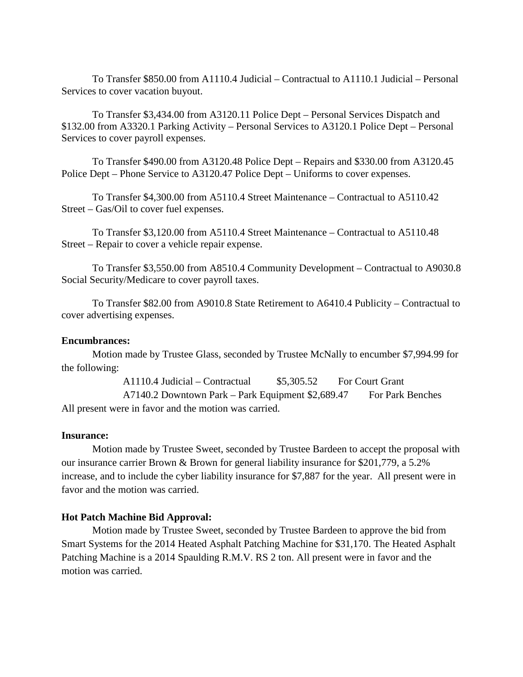To Transfer \$850.00 from A1110.4 Judicial – Contractual to A1110.1 Judicial – Personal Services to cover vacation buyout.

To Transfer \$3,434.00 from A3120.11 Police Dept – Personal Services Dispatch and \$132.00 from A3320.1 Parking Activity – Personal Services to A3120.1 Police Dept – Personal Services to cover payroll expenses.

To Transfer \$490.00 from A3120.48 Police Dept – Repairs and \$330.00 from A3120.45 Police Dept – Phone Service to A3120.47 Police Dept – Uniforms to cover expenses.

To Transfer \$4,300.00 from A5110.4 Street Maintenance – Contractual to A5110.42 Street – Gas/Oil to cover fuel expenses.

To Transfer \$3,120.00 from A5110.4 Street Maintenance – Contractual to A5110.48 Street – Repair to cover a vehicle repair expense.

To Transfer \$3,550.00 from A8510.4 Community Development – Contractual to A9030.8 Social Security/Medicare to cover payroll taxes.

To Transfer \$82.00 from A9010.8 State Retirement to A6410.4 Publicity – Contractual to cover advertising expenses.

#### **Encumbrances:**

Motion made by Trustee Glass, seconded by Trustee McNally to encumber \$7,994.99 for the following:

A1110.4 Judicial – Contractual  $$5,305.52$  For Court Grant

A7140.2 Downtown Park – Park Equipment \$2,689.47 For Park Benches All present were in favor and the motion was carried.

#### **Insurance:**

 Motion made by Trustee Sweet, seconded by Trustee Bardeen to accept the proposal with our insurance carrier Brown & Brown for general liability insurance for \$201,779, a 5.2% increase, and to include the cyber liability insurance for \$7,887 for the year. All present were in favor and the motion was carried.

#### **Hot Patch Machine Bid Approval:**

 Motion made by Trustee Sweet, seconded by Trustee Bardeen to approve the bid from Smart Systems for the 2014 Heated Asphalt Patching Machine for \$31,170. The Heated Asphalt Patching Machine is a 2014 Spaulding R.M.V. RS 2 ton. All present were in favor and the motion was carried.